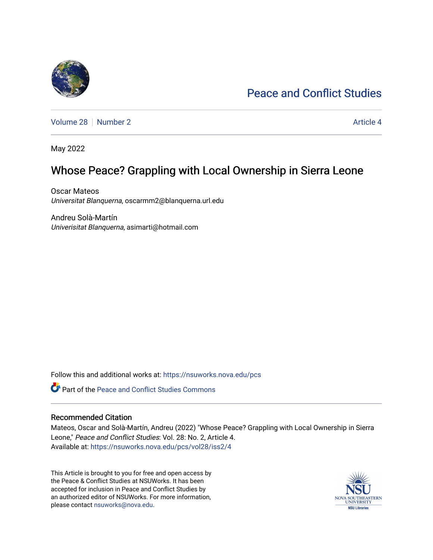# [Peace and Conflict Studies](https://nsuworks.nova.edu/pcs)

[Volume 28](https://nsuworks.nova.edu/pcs/vol28) [Number 2](https://nsuworks.nova.edu/pcs/vol28/iss2) Article 4

May 2022

# Whose Peace? Grappling with Local Ownership in Sierra Leone

Oscar Mateos Universitat Blanquerna, oscarmm2@blanquerna.url.edu

Andreu Solà-Martín Univerisitat Blanquerna, asimarti@hotmail.com

Follow this and additional works at: [https://nsuworks.nova.edu/pcs](https://nsuworks.nova.edu/pcs?utm_source=nsuworks.nova.edu%2Fpcs%2Fvol28%2Fiss2%2F4&utm_medium=PDF&utm_campaign=PDFCoverPages)

Part of the [Peace and Conflict Studies Commons](http://network.bepress.com/hgg/discipline/397?utm_source=nsuworks.nova.edu%2Fpcs%2Fvol28%2Fiss2%2F4&utm_medium=PDF&utm_campaign=PDFCoverPages) 

### Recommended Citation

Mateos, Oscar and Solà-Martín, Andreu (2022) "Whose Peace? Grappling with Local Ownership in Sierra Leone," Peace and Conflict Studies: Vol. 28: No. 2, Article 4. Available at: [https://nsuworks.nova.edu/pcs/vol28/iss2/4](https://nsuworks.nova.edu/pcs/vol28/iss2/4?utm_source=nsuworks.nova.edu%2Fpcs%2Fvol28%2Fiss2%2F4&utm_medium=PDF&utm_campaign=PDFCoverPages)

This Article is brought to you for free and open access by the Peace & Conflict Studies at NSUWorks. It has been accepted for inclusion in Peace and Conflict Studies by an authorized editor of NSUWorks. For more information, please contact [nsuworks@nova.edu](mailto:nsuworks@nova.edu).

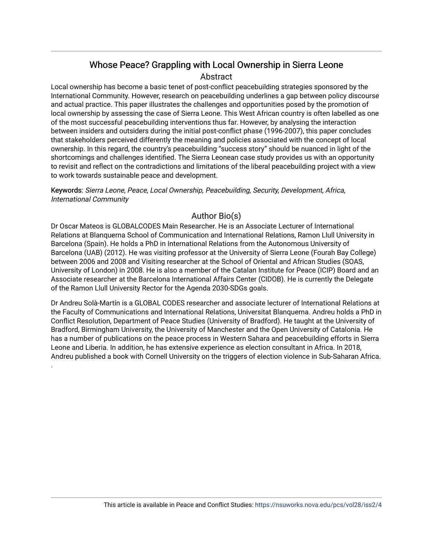# Whose Peace? Grappling with Local Ownership in Sierra Leone Abstract

Local ownership has become a basic tenet of post-conflict peacebuilding strategies sponsored by the International Community. However, research on peacebuilding underlines a gap between policy discourse and actual practice. This paper illustrates the challenges and opportunities posed by the promotion of local ownership by assessing the case of Sierra Leone. This West African country is often labelled as one of the most successful peacebuilding interventions thus far. However, by analysing the interaction between insiders and outsiders during the initial post-conflict phase (1996-2007), this paper concludes that stakeholders perceived differently the meaning and policies associated with the concept of local ownership. In this regard, the country's peacebuilding "success story" should be nuanced in light of the shortcomings and challenges identified. The Sierra Leonean case study provides us with an opportunity to revisit and reflect on the contradictions and limitations of the liberal peacebuilding project with a view to work towards sustainable peace and development.

Keywords: Sierra Leone, Peace, Local Ownership, Peacebuilding, Security, Development, Africa, International Community

## Author Bio(s)

Dr Oscar Mateos is GLOBALCODES Main Researcher. He is an Associate Lecturer of International Relations at Blanquerna School of Communication and International Relations, Ramon Llull University in Barcelona (Spain). He holds a PhD in International Relations from the Autonomous University of Barcelona (UAB) (2012). He was visiting professor at the University of Sierra Leone (Fourah Bay College) between 2006 and 2008 and Visiting researcher at the School of Oriental and African Studies (SOAS, University of London) in 2008. He is also a member of the Catalan Institute for Peace (ICIP) Board and an Associate researcher at the Barcelona International Affairs Center (CIDOB). He is currently the Delegate of the Ramon Llull University Rector for the Agenda 2030-SDGs goals.

Dr Andreu Solà-Martín is a GLOBAL CODES researcher and associate lecturer of International Relations at the Faculty of Communications and International Relations, Universitat Blanquerna. Andreu holds a PhD in Conflict Resolution, Department of Peace Studies (University of Bradford). He taught at the University of Bradford, Birmingham University, the University of Manchester and the Open University of Catalonia. He has a number of publications on the peace process in Western Sahara and peacebuilding efforts in Sierra Leone and Liberia. In addition, he has extensive experience as election consultant in Africa. In 2018, Andreu published a book with Cornell University on the triggers of election violence in Sub-Saharan Africa.

.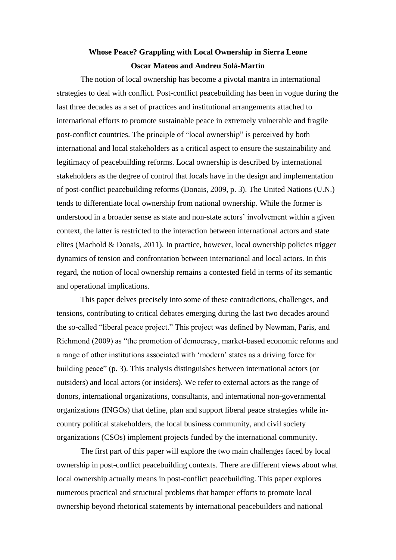# **Whose Peace? Grappling with Local Ownership in Sierra Leone Oscar Mateos and Andreu Solà-Martín**

The notion of local ownership has become a pivotal mantra in international strategies to deal with conflict. Post-conflict peacebuilding has been in vogue during the last three decades as a set of practices and institutional arrangements attached to international efforts to promote sustainable peace in extremely vulnerable and fragile post-conflict countries. The principle of "local ownership" is perceived by both international and local stakeholders as a critical aspect to ensure the sustainability and legitimacy of peacebuilding reforms. Local ownership is described by international stakeholders as the degree of control that locals have in the design and implementation of post-conflict peacebuilding reforms (Donais, 2009, p. 3). The United Nations (U.N.) tends to differentiate local ownership from national ownership. While the former is understood in a broader sense as state and non-state actors' involvement within a given context, the latter is restricted to the interaction between international actors and state elites (Machold & Donais, 2011). In practice, however, local ownership policies trigger dynamics of tension and confrontation between international and local actors. In this regard, the notion of local ownership remains a contested field in terms of its semantic and operational implications.

This paper delves precisely into some of these contradictions, challenges, and tensions, contributing to critical debates emerging during the last two decades around the so-called "liberal peace project." This project was defined by Newman, Paris, and Richmond (2009) as "the promotion of democracy, market-based economic reforms and a range of other institutions associated with 'modern' states as a driving force for building peace" (p. 3). This analysis distinguishes between international actors (or outsiders) and local actors (or insiders). We refer to external actors as the range of donors, international organizations, consultants, and international non-governmental organizations (INGOs) that define, plan and support liberal peace strategies while incountry political stakeholders, the local business community, and civil society organizations (CSOs) implement projects funded by the international community.

The first part of this paper will explore the two main challenges faced by local ownership in post-conflict peacebuilding contexts. There are different views about what local ownership actually means in post-conflict peacebuilding. This paper explores numerous practical and structural problems that hamper efforts to promote local ownership beyond rhetorical statements by international peacebuilders and national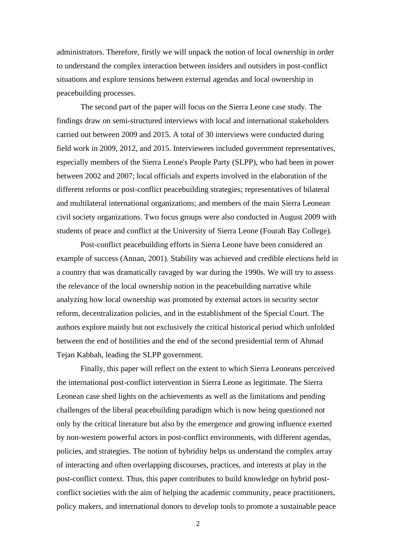administrators. Therefore, firstly we will unpack the notion of local ownership in order to understand the complex interaction between insiders and outsiders in post-conflict situations and explore tensions between external agendas and local ownership in peacebuilding processes.

The second part of the paper will focus on the Sierra Leone case study. The findings draw on semi-structured interviews with local and international stakeholders carried out between 2009 and 2015. A total of 30 interviews were conducted during field work in 2009, 2012, and 2015. Interviewees included government representatives, especially members of the Sierra Leone's People Party (SLPP), who had been in power between 2002 and 2007; local officials and experts involved in the elaboration of the different reforms or post-conflict peacebuilding strategies; representatives of bilateral and multilateral international organizations; and members of the main Sierra Leonean civil society organizations. Two focus groups were also conducted in August 2009 with students of peace and conflict at the University of Sierra Leone (Fourah Bay College).

Post-conflict peacebuilding efforts in Sierra Leone have been considered an example of success (Annan, 2001). Stability was achieved and credible elections held in a country that was dramatically ravaged by war during the 1990s. We will try to assess the relevance of the local ownership notion in the peacebuilding narrative while analyzing how local ownership was promoted by external actors in security sector reform, decentralization policies, and in the establishment of the Special Court. The authors explore mainly but not exclusively the critical historical period which unfolded between the end of hostilities and the end of the second presidential term of Ahmad Tejan Kabbah, leading the SLPP government.

Finally, this paper will reflect on the extent to which Sierra Leoneans perceived the international post-conflict intervention in Sierra Leone as legitimate. The Sierra Leonean case shed lights on the achievements as well as the limitations and pending challenges of the liberal peacebuilding paradigm which is now being questioned not only by the critical literature but also by the emergence and growing influence exerted by non-western powerful actors in post-conflict environments, with different agendas, policies, and strategies. The notion of hybridity helps us understand the complex array of interacting and often overlapping discourses, practices, and interests at play in the post-conflict context. Thus, this paper contributes to build knowledge on hybrid postconflict societies with the aim of helping the academic community, peace practitioners, policy makers, and international donors to develop tools to promote a sustainable peace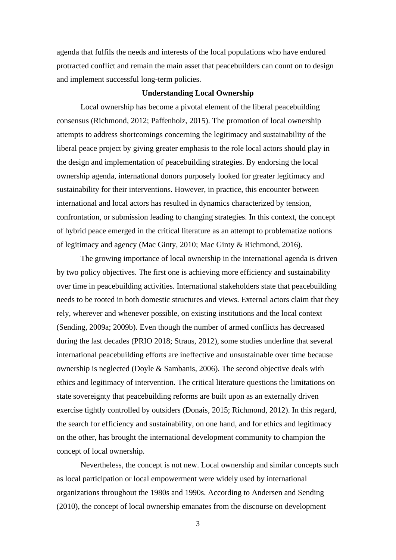agenda that fulfils the needs and interests of the local populations who have endured protracted conflict and remain the main asset that peacebuilders can count on to design and implement successful long-term policies.

### **Understanding Local Ownership**

Local ownership has become a pivotal element of the liberal peacebuilding consensus (Richmond, 2012; Paffenholz, 2015). The promotion of local ownership attempts to address shortcomings concerning the legitimacy and sustainability of the liberal peace project by giving greater emphasis to the role local actors should play in the design and implementation of peacebuilding strategies. By endorsing the local ownership agenda, international donors purposely looked for greater legitimacy and sustainability for their interventions. However, in practice, this encounter between international and local actors has resulted in dynamics characterized by tension, confrontation, or submission leading to changing strategies. In this context, the concept of hybrid peace emerged in the critical literature as an attempt to problematize notions of legitimacy and agency (Mac Ginty, 2010; Mac Ginty & Richmond, 2016).

The growing importance of local ownership in the international agenda is driven by two policy objectives. The first one is achieving more efficiency and sustainability over time in peacebuilding activities. International stakeholders state that peacebuilding needs to be rooted in both domestic structures and views. External actors claim that they rely, wherever and whenever possible, on existing institutions and the local context (Sending, 2009a; 2009b). Even though the number of armed conflicts has decreased during the last decades (PRIO 2018; Straus, 2012), some studies underline that several international peacebuilding efforts are ineffective and unsustainable over time because ownership is neglected (Doyle & Sambanis, 2006). The second objective deals with ethics and legitimacy of intervention. The critical literature questions the limitations on state sovereignty that peacebuilding reforms are built upon as an externally driven exercise tightly controlled by outsiders (Donais, 2015; Richmond, 2012). In this regard, the search for efficiency and sustainability, on one hand, and for ethics and legitimacy on the other, has brought the international development community to champion the concept of local ownership.

Nevertheless, the concept is not new. Local ownership and similar concepts such as local participation or local empowerment were widely used by international organizations throughout the 1980s and 1990s. According to Andersen and Sending (2010), the concept of local ownership emanates from the discourse on development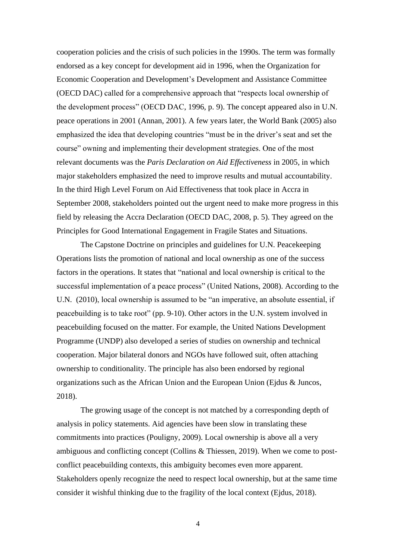cooperation policies and the crisis of such policies in the 1990s. The term was formally endorsed as a key concept for development aid in 1996, when the Organization for Economic Cooperation and Development's Development and Assistance Committee (OECD DAC) called for a comprehensive approach that "respects local ownership of the development process" (OECD DAC, 1996, p. 9). The concept appeared also in U.N. peace operations in 2001 (Annan, 2001). A few years later, the World Bank (2005) also emphasized the idea that developing countries "must be in the driver's seat and set the course" owning and implementing their development strategies. One of the most relevant documents was the *Paris Declaration on Aid Effectiveness* in 2005, in which major stakeholders emphasized the need to improve results and mutual accountability. In the third High Level Forum on Aid Effectiveness that took place in Accra in September 2008, stakeholders pointed out the urgent need to make more progress in this field by releasing the Accra Declaration (OECD DAC, 2008, p. 5). They agreed on the Principles for Good International Engagement in Fragile States and Situations.

The Capstone Doctrine on principles and guidelines for U.N. Peacekeeping Operations lists the promotion of national and local ownership as one of the success factors in the operations. It states that "national and local ownership is critical to the successful implementation of a peace process" (United Nations, 2008). According to the U.N. (2010), local ownership is assumed to be "an imperative, an absolute essential, if peacebuilding is to take root" (pp. 9-10). Other actors in the U.N. system involved in peacebuilding focused on the matter. For example, the United Nations Development Programme (UNDP) also developed a series of studies on ownership and technical cooperation. Major bilateral donors and NGOs have followed suit, often attaching ownership to conditionality. The principle has also been endorsed by regional organizations such as the African Union and the European Union (Ejdus & Juncos, 2018).

The growing usage of the concept is not matched by a corresponding depth of analysis in policy statements. Aid agencies have been slow in translating these commitments into practices (Pouligny, 2009). Local ownership is above all a very ambiguous and conflicting concept (Collins & Thiessen, 2019). When we come to postconflict peacebuilding contexts, this ambiguity becomes even more apparent. Stakeholders openly recognize the need to respect local ownership, but at the same time consider it wishful thinking due to the fragility of the local context (Ejdus, 2018).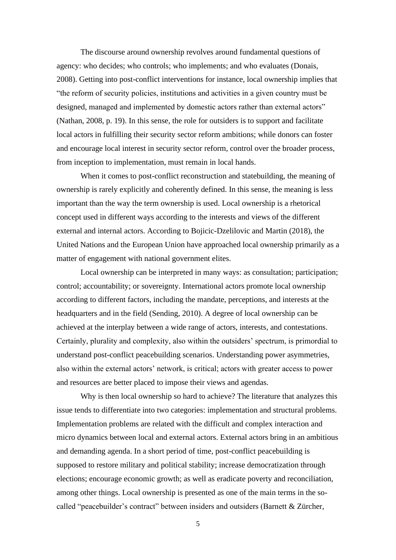The discourse around ownership revolves around fundamental questions of agency: who decides; who controls; who implements; and who evaluates (Donais, 2008). Getting into post-conflict interventions for instance, local ownership implies that "the reform of security policies, institutions and activities in a given country must be designed, managed and implemented by domestic actors rather than external actors" (Nathan, 2008, p. 19). In this sense, the role for outsiders is to support and facilitate local actors in fulfilling their security sector reform ambitions; while donors can foster and encourage local interest in security sector reform, control over the broader process, from inception to implementation, must remain in local hands.

When it comes to post-conflict reconstruction and statebuilding, the meaning of ownership is rarely explicitly and coherently defined. In this sense, the meaning is less important than the way the term ownership is used. Local ownership is a rhetorical concept used in different ways according to the interests and views of the different external and internal actors. According to Bojicic-Dzelilovic and Martin (2018), the United Nations and the European Union have approached local ownership primarily as a matter of engagement with national government elites.

Local ownership can be interpreted in many ways: as consultation; participation; control; accountability; or sovereignty. International actors promote local ownership according to different factors, including the mandate, perceptions, and interests at the headquarters and in the field (Sending, 2010). A degree of local ownership can be achieved at the interplay between a wide range of actors, interests, and contestations. Certainly, plurality and complexity, also within the outsiders' spectrum, is primordial to understand post-conflict peacebuilding scenarios. Understanding power asymmetries, also within the external actors' network, is critical; actors with greater access to power and resources are better placed to impose their views and agendas.

Why is then local ownership so hard to achieve? The literature that analyzes this issue tends to differentiate into two categories: implementation and structural problems. Implementation problems are related with the difficult and complex interaction and micro dynamics between local and external actors. External actors bring in an ambitious and demanding agenda. In a short period of time, post-conflict peacebuilding is supposed to restore military and political stability; increase democratization through elections; encourage economic growth; as well as eradicate poverty and reconciliation, among other things. Local ownership is presented as one of the main terms in the socalled "peacebuilder's contract" between insiders and outsiders (Barnett & Zürcher,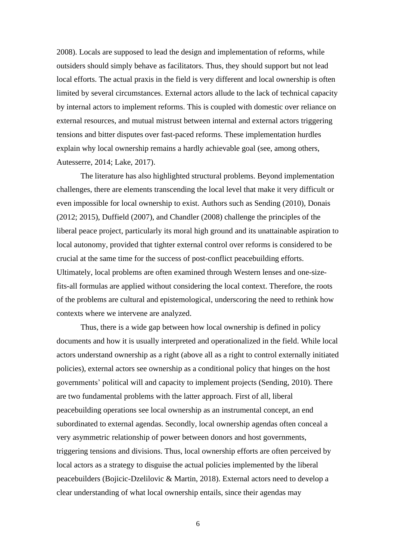2008). Locals are supposed to lead the design and implementation of reforms, while outsiders should simply behave as facilitators. Thus, they should support but not lead local efforts. The actual praxis in the field is very different and local ownership is often limited by several circumstances. External actors allude to the lack of technical capacity by internal actors to implement reforms. This is coupled with domestic over reliance on external resources, and mutual mistrust between internal and external actors triggering tensions and bitter disputes over fast-paced reforms. These implementation hurdles explain why local ownership remains a hardly achievable goal (see, among others, Autesserre, 2014; Lake, 2017).

The literature has also highlighted structural problems. Beyond implementation challenges, there are elements transcending the local level that make it very difficult or even impossible for local ownership to exist. Authors such as Sending (2010), Donais (2012; 2015), Duffield (2007), and Chandler (2008) challenge the principles of the liberal peace project, particularly its moral high ground and its unattainable aspiration to local autonomy, provided that tighter external control over reforms is considered to be crucial at the same time for the success of post-conflict peacebuilding efforts. Ultimately, local problems are often examined through Western lenses and one-sizefits-all formulas are applied without considering the local context. Therefore, the roots of the problems are cultural and epistemological, underscoring the need to rethink how contexts where we intervene are analyzed.

Thus, there is a wide gap between how local ownership is defined in policy documents and how it is usually interpreted and operationalized in the field. While local actors understand ownership as a right (above all as a right to control externally initiated policies), external actors see ownership as a conditional policy that hinges on the host governments' political will and capacity to implement projects (Sending, 2010). There are two fundamental problems with the latter approach. First of all, liberal peacebuilding operations see local ownership as an instrumental concept, an end subordinated to external agendas. Secondly, local ownership agendas often conceal a very asymmetric relationship of power between donors and host governments, triggering tensions and divisions. Thus, local ownership efforts are often perceived by local actors as a strategy to disguise the actual policies implemented by the liberal peacebuilders (Bojicic-Dzelilovic & Martin, 2018). External actors need to develop a clear understanding of what local ownership entails, since their agendas may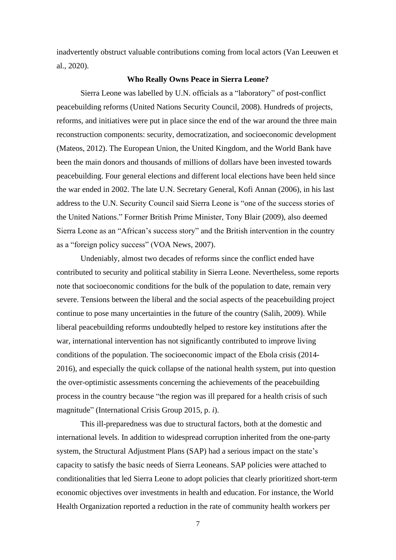inadvertently obstruct valuable contributions coming from local actors (Van Leeuwen et al., 2020).

#### **Who Really Owns Peace in Sierra Leone?**

Sierra Leone was labelled by U.N. officials as a "laboratory" of post-conflict peacebuilding reforms (United Nations Security Council, 2008). Hundreds of projects, reforms, and initiatives were put in place since the end of the war around the three main reconstruction components: security, democratization, and socioeconomic development (Mateos, 2012). The European Union, the United Kingdom, and the World Bank have been the main donors and thousands of millions of dollars have been invested towards peacebuilding. Four general elections and different local elections have been held since the war ended in 2002. The late U.N. Secretary General, Kofi Annan (2006), in his last address to the U.N. Security Council said Sierra Leone is "one of the success stories of the United Nations." Former British Prime Minister, Tony Blair (2009), also deemed Sierra Leone as an "African's success story" and the British intervention in the country as a "foreign policy success" (VOA News, 2007).

Undeniably, almost two decades of reforms since the conflict ended have contributed to security and political stability in Sierra Leone. Nevertheless, some reports note that socioeconomic conditions for the bulk of the population to date, remain very severe. Tensions between the liberal and the social aspects of the peacebuilding project continue to pose many uncertainties in the future of the country (Salih, 2009). While liberal peacebuilding reforms undoubtedly helped to restore key institutions after the war, international intervention has not significantly contributed to improve living conditions of the population. The socioeconomic impact of the Ebola crisis (2014- 2016), and especially the quick collapse of the national health system, put into question the over-optimistic assessments concerning the achievements of the peacebuilding process in the country because "the region was ill prepared for a health crisis of such magnitude" (International Crisis Group 2015, p. *i*).

This ill-preparedness was due to structural factors, both at the domestic and international levels. In addition to widespread corruption inherited from the one-party system, the Structural Adjustment Plans (SAP) had a serious impact on the state's capacity to satisfy the basic needs of Sierra Leoneans. SAP policies were attached to conditionalities that led Sierra Leone to adopt policies that clearly prioritized short-term economic objectives over investments in health and education. For instance, the World Health Organization reported a reduction in the rate of community health workers per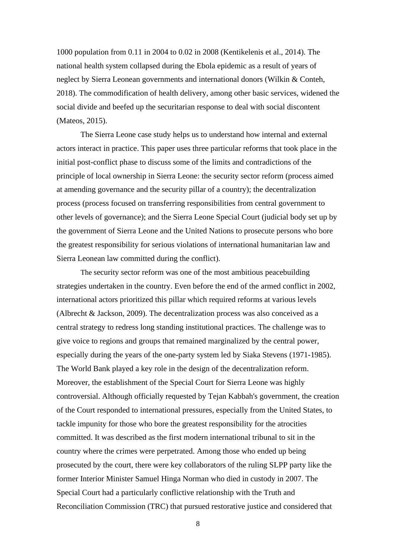1000 population from 0.11 in 2004 to 0.02 in 2008 (Kentikelenis et al., 2014). The national health system collapsed during the Ebola epidemic as a result of years of neglect by Sierra Leonean governments and international donors (Wilkin & Conteh, 2018). The commodification of health delivery, among other basic services, widened the social divide and beefed up the securitarian response to deal with social discontent (Mateos, 2015).

The Sierra Leone case study helps us to understand how internal and external actors interact in practice. This paper uses three particular reforms that took place in the initial post-conflict phase to discuss some of the limits and contradictions of the principle of local ownership in Sierra Leone: the security sector reform (process aimed at amending governance and the security pillar of a country); the decentralization process (process focused on transferring responsibilities from central government to other levels of governance); and the Sierra Leone Special Court (judicial body set up by the government of Sierra Leone and the United Nations to prosecute persons who bore the greatest responsibility for serious violations of international humanitarian law and Sierra Leonean law committed during the conflict).

The security sector reform was one of the most ambitious peacebuilding strategies undertaken in the country. Even before the end of the armed conflict in 2002, international actors prioritized this pillar which required reforms at various levels (Albrecht & Jackson, 2009). The decentralization process was also conceived as a central strategy to redress long standing institutional practices. The challenge was to give voice to regions and groups that remained marginalized by the central power, especially during the years of the one-party system led by Siaka Stevens (1971-1985). The World Bank played a key role in the design of the decentralization reform. Moreover, the establishment of the Special Court for Sierra Leone was highly controversial. Although officially requested by Tejan Kabbah's government, the creation of the Court responded to international pressures, especially from the United States, to tackle impunity for those who bore the greatest responsibility for the atrocities committed. It was described as the first modern international tribunal to sit in the country where the crimes were perpetrated. Among those who ended up being prosecuted by the court, there were key collaborators of the ruling SLPP party like the former Interior Minister Samuel Hinga Norman who died in custody in 2007. The Special Court had a particularly conflictive relationship with the Truth and Reconciliation Commission (TRC) that pursued restorative justice and considered that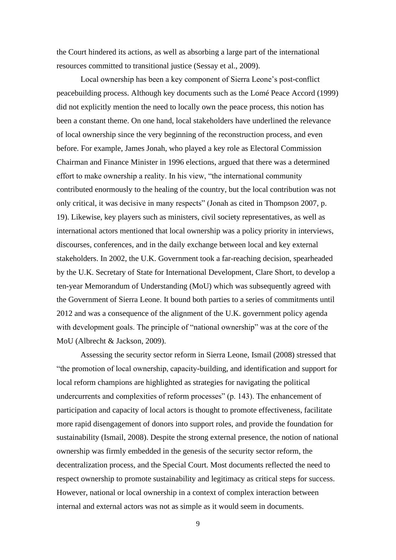the Court hindered its actions, as well as absorbing a large part of the international resources committed to transitional justice (Sessay et al., 2009).

Local ownership has been a key component of Sierra Leone's post-conflict peacebuilding process. Although key documents such as the Lomé Peace Accord (1999) did not explicitly mention the need to locally own the peace process, this notion has been a constant theme. On one hand, local stakeholders have underlined the relevance of local ownership since the very beginning of the reconstruction process, and even before. For example, James Jonah, who played a key role as Electoral Commission Chairman and Finance Minister in 1996 elections, argued that there was a determined effort to make ownership a reality. In his view, "the international community contributed enormously to the healing of the country, but the local contribution was not only critical, it was decisive in many respects" (Jonah as cited in Thompson 2007, p. 19). Likewise, key players such as ministers, civil society representatives, as well as international actors mentioned that local ownership was a policy priority in interviews, discourses, conferences, and in the daily exchange between local and key external stakeholders. In 2002, the U.K. Government took a far-reaching decision, spearheaded by the U.K. Secretary of State for International Development, Clare Short, to develop a ten-year Memorandum of Understanding (MoU) which was subsequently agreed with the Government of Sierra Leone. It bound both parties to a series of commitments until 2012 and was a consequence of the alignment of the U.K. government policy agenda with development goals. The principle of "national ownership" was at the core of the MoU (Albrecht & Jackson, 2009).

Assessing the security sector reform in Sierra Leone, Ismail (2008) stressed that "the promotion of local ownership, capacity-building, and identification and support for local reform champions are highlighted as strategies for navigating the political undercurrents and complexities of reform processes" (p. 143). The enhancement of participation and capacity of local actors is thought to promote effectiveness, facilitate more rapid disengagement of donors into support roles, and provide the foundation for sustainability (Ismail, 2008). Despite the strong external presence, the notion of national ownership was firmly embedded in the genesis of the security sector reform, the decentralization process, and the Special Court. Most documents reflected the need to respect ownership to promote sustainability and legitimacy as critical steps for success. However, national or local ownership in a context of complex interaction between internal and external actors was not as simple as it would seem in documents.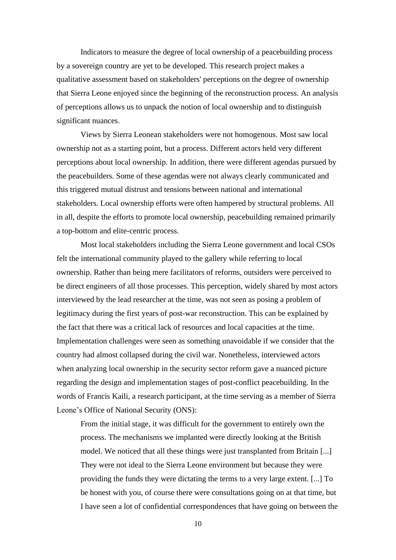Indicators to measure the degree of local ownership of a peacebuilding process by a sovereign country are yet to be developed. This research project makes a qualitative assessment based on stakeholders' perceptions on the degree of ownership that Sierra Leone enjoyed since the beginning of the reconstruction process. An analysis of perceptions allows us to unpack the notion of local ownership and to distinguish significant nuances.

Views by Sierra Leonean stakeholders were not homogenous. Most saw local ownership not as a starting point, but a process. Different actors held very different perceptions about local ownership. In addition, there were different agendas pursued by the peacebuilders. Some of these agendas were not always clearly communicated and this triggered mutual distrust and tensions between national and international stakeholders. Local ownership efforts were often hampered by structural problems. All in all, despite the efforts to promote local ownership, peacebuilding remained primarily a top-bottom and elite-centric process.

Most local stakeholders including the Sierra Leone government and local CSOs felt the international community played to the gallery while referring to local ownership. Rather than being mere facilitators of reforms, outsiders were perceived to be direct engineers of all those processes. This perception, widely shared by most actors interviewed by the lead researcher at the time, was not seen as posing a problem of legitimacy during the first years of post-war reconstruction. This can be explained by the fact that there was a critical lack of resources and local capacities at the time. Implementation challenges were seen as something unavoidable if we consider that the country had almost collapsed during the civil war. Nonetheless, interviewed actors when analyzing local ownership in the security sector reform gave a nuanced picture regarding the design and implementation stages of post-conflict peacebuilding. In the words of Francis Kaili, a research participant, at the time serving as a member of Sierra Leone's Office of National Security (ONS):

From the initial stage, it was difficult for the government to entirely own the process. The mechanisms we implanted were directly looking at the British model. We noticed that all these things were just transplanted from Britain [...] They were not ideal to the Sierra Leone environment but because they were providing the funds they were dictating the terms to a very large extent. [...] To be honest with you, of course there were consultations going on at that time, but I have seen a lot of confidential correspondences that have going on between the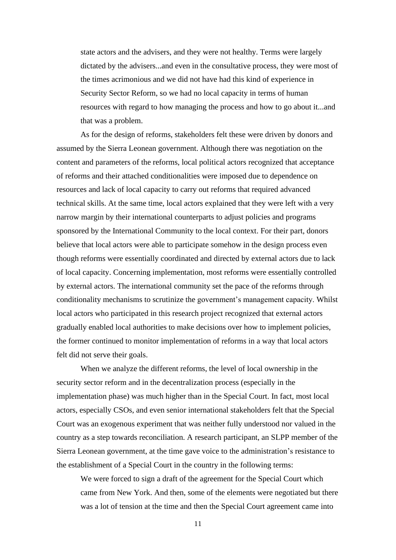state actors and the advisers, and they were not healthy. Terms were largely dictated by the advisers...and even in the consultative process, they were most of the times acrimonious and we did not have had this kind of experience in Security Sector Reform, so we had no local capacity in terms of human resources with regard to how managing the process and how to go about it...and that was a problem.

As for the design of reforms, stakeholders felt these were driven by donors and assumed by the Sierra Leonean government. Although there was negotiation on the content and parameters of the reforms, local political actors recognized that acceptance of reforms and their attached conditionalities were imposed due to dependence on resources and lack of local capacity to carry out reforms that required advanced technical skills. At the same time, local actors explained that they were left with a very narrow margin by their international counterparts to adjust policies and programs sponsored by the International Community to the local context. For their part, donors believe that local actors were able to participate somehow in the design process even though reforms were essentially coordinated and directed by external actors due to lack of local capacity. Concerning implementation, most reforms were essentially controlled by external actors. The international community set the pace of the reforms through conditionality mechanisms to scrutinize the government's management capacity. Whilst local actors who participated in this research project recognized that external actors gradually enabled local authorities to make decisions over how to implement policies, the former continued to monitor implementation of reforms in a way that local actors felt did not serve their goals.

When we analyze the different reforms, the level of local ownership in the security sector reform and in the decentralization process (especially in the implementation phase) was much higher than in the Special Court. In fact, most local actors, especially CSOs, and even senior international stakeholders felt that the Special Court was an exogenous experiment that was neither fully understood nor valued in the country as a step towards reconciliation. A research participant, an SLPP member of the Sierra Leonean government, at the time gave voice to the administration's resistance to the establishment of a Special Court in the country in the following terms:

We were forced to sign a draft of the agreement for the Special Court which came from New York. And then, some of the elements were negotiated but there was a lot of tension at the time and then the Special Court agreement came into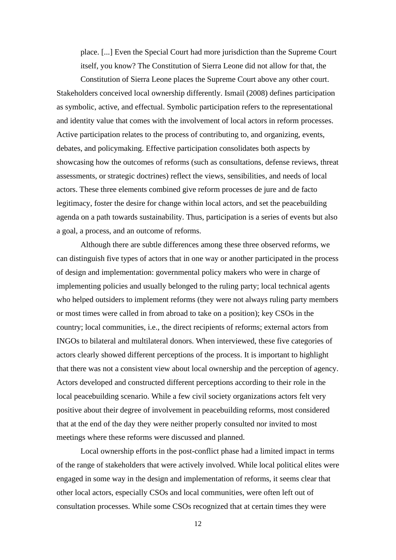place. [...] Even the Special Court had more jurisdiction than the Supreme Court itself, you know? The Constitution of Sierra Leone did not allow for that, the

Constitution of Sierra Leone places the Supreme Court above any other court. Stakeholders conceived local ownership differently. Ismail (2008) defines participation as symbolic, active, and effectual. Symbolic participation refers to the representational and identity value that comes with the involvement of local actors in reform processes. Active participation relates to the process of contributing to, and organizing, events, debates, and policymaking. Effective participation consolidates both aspects by showcasing how the outcomes of reforms (such as consultations, defense reviews, threat assessments, or strategic doctrines) reflect the views, sensibilities, and needs of local actors. These three elements combined give reform processes de jure and de facto legitimacy, foster the desire for change within local actors, and set the peacebuilding agenda on a path towards sustainability. Thus, participation is a series of events but also a goal, a process, and an outcome of reforms.

Although there are subtle differences among these three observed reforms, we can distinguish five types of actors that in one way or another participated in the process of design and implementation: governmental policy makers who were in charge of implementing policies and usually belonged to the ruling party; local technical agents who helped outsiders to implement reforms (they were not always ruling party members or most times were called in from abroad to take on a position); key CSOs in the country; local communities, i.e., the direct recipients of reforms; external actors from INGOs to bilateral and multilateral donors. When interviewed, these five categories of actors clearly showed different perceptions of the process. It is important to highlight that there was not a consistent view about local ownership and the perception of agency. Actors developed and constructed different perceptions according to their role in the local peacebuilding scenario. While a few civil society organizations actors felt very positive about their degree of involvement in peacebuilding reforms, most considered that at the end of the day they were neither properly consulted nor invited to most meetings where these reforms were discussed and planned.

Local ownership efforts in the post-conflict phase had a limited impact in terms of the range of stakeholders that were actively involved. While local political elites were engaged in some way in the design and implementation of reforms, it seems clear that other local actors, especially CSOs and local communities, were often left out of consultation processes. While some CSOs recognized that at certain times they were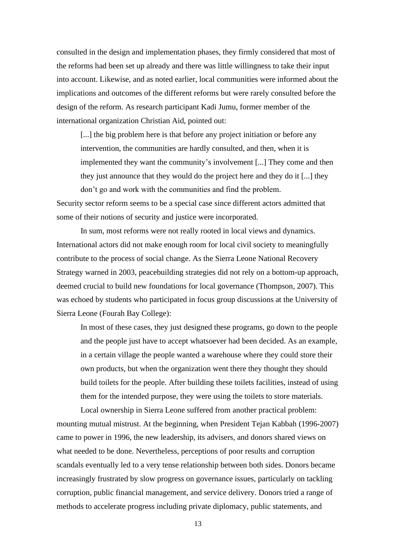consulted in the design and implementation phases, they firmly considered that most of the reforms had been set up already and there was little willingness to take their input into account. Likewise, and as noted earlier, local communities were informed about the implications and outcomes of the different reforms but were rarely consulted before the design of the reform. As research participant Kadi Jumu, former member of the international organization Christian Aid, pointed out:

[...] the big problem here is that before any project initiation or before any intervention, the communities are hardly consulted, and then, when it is implemented they want the community's involvement [...] They come and then they just announce that they would do the project here and they do it [...] they don't go and work with the communities and find the problem.

Security sector reform seems to be a special case since different actors admitted that some of their notions of security and justice were incorporated.

In sum, most reforms were not really rooted in local views and dynamics. International actors did not make enough room for local civil society to meaningfully contribute to the process of social change. As the Sierra Leone National Recovery Strategy warned in 2003, peacebuilding strategies did not rely on a bottom-up approach, deemed crucial to build new foundations for local governance (Thompson, 2007). This was echoed by students who participated in focus group discussions at the University of Sierra Leone (Fourah Bay College):

In most of these cases, they just designed these programs, go down to the people and the people just have to accept whatsoever had been decided. As an example, in a certain village the people wanted a warehouse where they could store their own products, but when the organization went there they thought they should build toilets for the people. After building these toilets facilities, instead of using them for the intended purpose, they were using the toilets to store materials.

Local ownership in Sierra Leone suffered from another practical problem: mounting mutual mistrust. At the beginning, when President Tejan Kabbah (1996-2007) came to power in 1996, the new leadership, its advisers, and donors shared views on what needed to be done. Nevertheless, perceptions of poor results and corruption scandals eventually led to a very tense relationship between both sides. Donors became increasingly frustrated by slow progress on governance issues, particularly on tackling corruption, public financial management, and service delivery. Donors tried a range of methods to accelerate progress including private diplomacy, public statements, and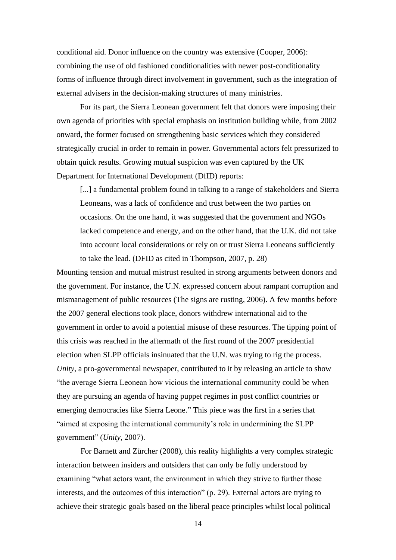conditional aid. Donor influence on the country was extensive (Cooper, 2006): combining the use of old fashioned conditionalities with newer post-conditionality forms of influence through direct involvement in government, such as the integration of external advisers in the decision-making structures of many ministries.

For its part, the Sierra Leonean government felt that donors were imposing their own agenda of priorities with special emphasis on institution building while, from 2002 onward, the former focused on strengthening basic services which they considered strategically crucial in order to remain in power. Governmental actors felt pressurized to obtain quick results. Growing mutual suspicion was even captured by the UK Department for International Development (DfID) reports:

[...] a fundamental problem found in talking to a range of stakeholders and Sierra Leoneans, was a lack of confidence and trust between the two parties on occasions. On the one hand, it was suggested that the government and NGOs lacked competence and energy, and on the other hand, that the U.K. did not take into account local considerations or rely on or trust Sierra Leoneans sufficiently to take the lead*.* (DFID as cited in Thompson, 2007, p. 28)

Mounting tension and mutual mistrust resulted in strong arguments between donors and the government. For instance, the U.N. expressed concern about rampant corruption and mismanagement of public resources (The signs are rusting, 2006). A few months before the 2007 general elections took place, donors withdrew international aid to the government in order to avoid a potential misuse of these resources. The tipping point of this crisis was reached in the aftermath of the first round of the 2007 presidential election when SLPP officials insinuated that the U.N. was trying to rig the process. *Unity*, a pro-governmental newspaper, contributed to it by releasing an article to show "the average Sierra Leonean how vicious the international community could be when they are pursuing an agenda of having puppet regimes in post conflict countries or emerging democracies like Sierra Leone." This piece was the first in a series that "aimed at exposing the international community's role in undermining the SLPP government" (*Unity*, 2007).

For Barnett and Zürcher (2008), this reality highlights a very complex strategic interaction between insiders and outsiders that can only be fully understood by examining "what actors want, the environment in which they strive to further those interests, and the outcomes of this interaction" (p. 29). External actors are trying to achieve their strategic goals based on the liberal peace principles whilst local political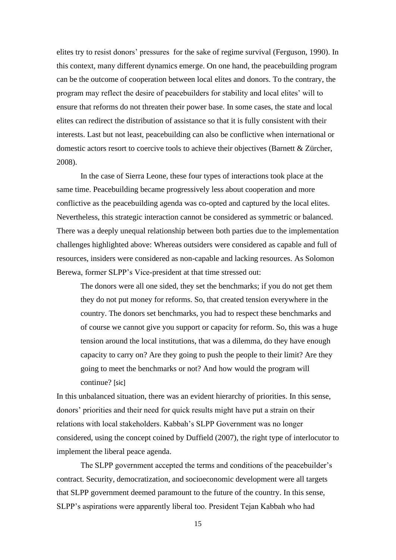elites try to resist donors' pressures for the sake of regime survival (Ferguson, 1990). In this context, many different dynamics emerge. On one hand, the peacebuilding program can be the outcome of cooperation between local elites and donors. To the contrary, the program may reflect the desire of peacebuilders for stability and local elites' will to ensure that reforms do not threaten their power base. In some cases, the state and local elites can redirect the distribution of assistance so that it is fully consistent with their interests. Last but not least, peacebuilding can also be conflictive when international or domestic actors resort to coercive tools to achieve their objectives (Barnett & Zürcher, 2008).

In the case of Sierra Leone, these four types of interactions took place at the same time. Peacebuilding became progressively less about cooperation and more conflictive as the peacebuilding agenda was co-opted and captured by the local elites. Nevertheless, this strategic interaction cannot be considered as symmetric or balanced. There was a deeply unequal relationship between both parties due to the implementation challenges highlighted above: Whereas outsiders were considered as capable and full of resources, insiders were considered as non-capable and lacking resources. As Solomon Berewa, former SLPP's Vice-president at that time stressed out:

The donors were all one sided, they set the benchmarks; if you do not get them they do not put money for reforms. So, that created tension everywhere in the country. The donors set benchmarks, you had to respect these benchmarks and of course we cannot give you support or capacity for reform. So, this was a huge tension around the local institutions, that was a dilemma, do they have enough capacity to carry on? Are they going to push the people to their limit? Are they going to meet the benchmarks or not? And how would the program will continue? [sic]

In this unbalanced situation, there was an evident hierarchy of priorities. In this sense, donors' priorities and their need for quick results might have put a strain on their relations with local stakeholders. Kabbah's SLPP Government was no longer considered, using the concept coined by Duffield (2007), the right type of interlocutor to implement the liberal peace agenda.

The SLPP government accepted the terms and conditions of the peacebuilder's contract. Security, democratization, and socioeconomic development were all targets that SLPP government deemed paramount to the future of the country. In this sense, SLPP's aspirations were apparently liberal too. President Tejan Kabbah who had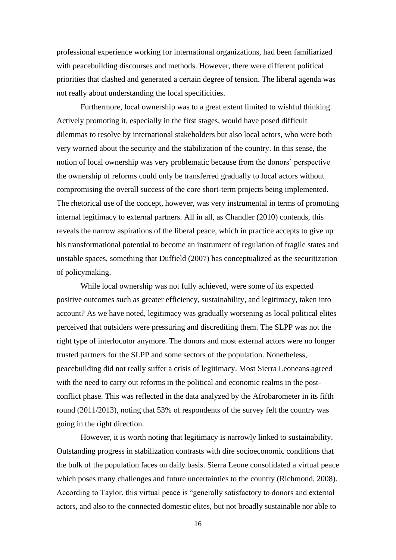professional experience working for international organizations, had been familiarized with peacebuilding discourses and methods. However, there were different political priorities that clashed and generated a certain degree of tension. The liberal agenda was not really about understanding the local specificities.

Furthermore, local ownership was to a great extent limited to wishful thinking. Actively promoting it, especially in the first stages, would have posed difficult dilemmas to resolve by international stakeholders but also local actors, who were both very worried about the security and the stabilization of the country. In this sense, the notion of local ownership was very problematic because from the donors' perspective the ownership of reforms could only be transferred gradually to local actors without compromising the overall success of the core short-term projects being implemented. The rhetorical use of the concept, however, was very instrumental in terms of promoting internal legitimacy to external partners. All in all, as Chandler (2010) contends, this reveals the narrow aspirations of the liberal peace, which in practice accepts to give up his transformational potential to become an instrument of regulation of fragile states and unstable spaces, something that Duffield (2007) has conceptualized as the securitization of policymaking.

While local ownership was not fully achieved, were some of its expected positive outcomes such as greater efficiency, sustainability, and legitimacy, taken into account? As we have noted, legitimacy was gradually worsening as local political elites perceived that outsiders were pressuring and discrediting them. The SLPP was not the right type of interlocutor anymore. The donors and most external actors were no longer trusted partners for the SLPP and some sectors of the population. Nonetheless, peacebuilding did not really suffer a crisis of legitimacy. Most Sierra Leoneans agreed with the need to carry out reforms in the political and economic realms in the postconflict phase. This was reflected in the data analyzed by the Afrobarometer in its fifth round (2011/2013), noting that 53% of respondents of the survey felt the country was going in the right direction.

However, it is worth noting that legitimacy is narrowly linked to sustainability. Outstanding progress in stabilization contrasts with dire socioeconomic conditions that the bulk of the population faces on daily basis. Sierra Leone consolidated a virtual peace which poses many challenges and future uncertainties to the country (Richmond, 2008). According to Taylor, this virtual peace is "generally satisfactory to donors and external actors, and also to the connected domestic elites, but not broadly sustainable nor able to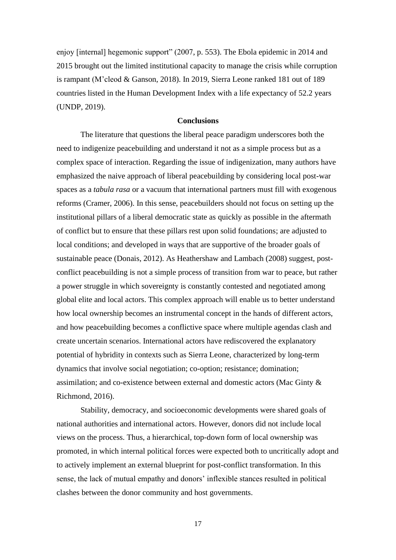enjoy [internal] hegemonic support" (2007, p. 553). The Ebola epidemic in 2014 and 2015 brought out the limited institutional capacity to manage the crisis while corruption is rampant (M'cleod & Ganson, 2018). In 2019, Sierra Leone ranked 181 out of 189 countries listed in the Human Development Index with a life expectancy of 52.2 years (UNDP, 2019).

## **Conclusions**

The literature that questions the liberal peace paradigm underscores both the need to indigenize peacebuilding and understand it not as a simple process but as a complex space of interaction. Regarding the issue of indigenization, many authors have emphasized the naive approach of liberal peacebuilding by considering local post-war spaces as a *tabula rasa* or a vacuum that international partners must fill with exogenous reforms (Cramer, 2006). In this sense, peacebuilders should not focus on setting up the institutional pillars of a liberal democratic state as quickly as possible in the aftermath of conflict but to ensure that these pillars rest upon solid foundations; are adjusted to local conditions; and developed in ways that are supportive of the broader goals of sustainable peace (Donais, 2012). As Heathershaw and Lambach (2008) suggest, postconflict peacebuilding is not a simple process of transition from war to peace, but rather a power struggle in which sovereignty is constantly contested and negotiated among global elite and local actors. This complex approach will enable us to better understand how local ownership becomes an instrumental concept in the hands of different actors, and how peacebuilding becomes a conflictive space where multiple agendas clash and create uncertain scenarios. International actors have rediscovered the explanatory potential of hybridity in contexts such as Sierra Leone, characterized by long-term dynamics that involve social negotiation; co-option; resistance; domination; assimilation; and co-existence between external and domestic actors (Mac Ginty & Richmond, 2016).

Stability, democracy, and socioeconomic developments were shared goals of national authorities and international actors. However, donors did not include local views on the process. Thus, a hierarchical, top-down form of local ownership was promoted, in which internal political forces were expected both to uncritically adopt and to actively implement an external blueprint for post-conflict transformation. In this sense, the lack of mutual empathy and donors' inflexible stances resulted in political clashes between the donor community and host governments.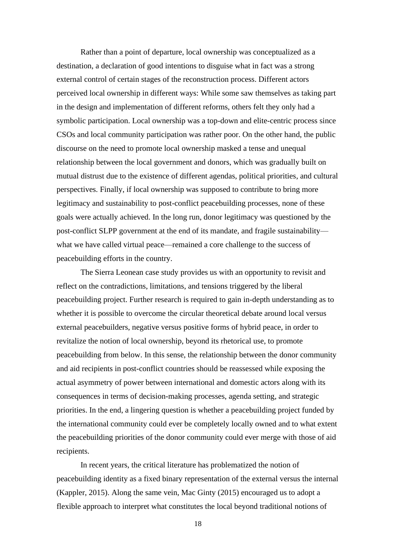Rather than a point of departure, local ownership was conceptualized as a destination, a declaration of good intentions to disguise what in fact was a strong external control of certain stages of the reconstruction process. Different actors perceived local ownership in different ways: While some saw themselves as taking part in the design and implementation of different reforms, others felt they only had a symbolic participation. Local ownership was a top-down and elite-centric process since CSOs and local community participation was rather poor. On the other hand, the public discourse on the need to promote local ownership masked a tense and unequal relationship between the local government and donors, which was gradually built on mutual distrust due to the existence of different agendas, political priorities, and cultural perspectives. Finally, if local ownership was supposed to contribute to bring more legitimacy and sustainability to post-conflict peacebuilding processes, none of these goals were actually achieved. In the long run, donor legitimacy was questioned by the post-conflict SLPP government at the end of its mandate, and fragile sustainability what we have called virtual peace—remained a core challenge to the success of peacebuilding efforts in the country.

The Sierra Leonean case study provides us with an opportunity to revisit and reflect on the contradictions, limitations, and tensions triggered by the liberal peacebuilding project. Further research is required to gain in-depth understanding as to whether it is possible to overcome the circular theoretical debate around local versus external peacebuilders, negative versus positive forms of hybrid peace, in order to revitalize the notion of local ownership, beyond its rhetorical use, to promote peacebuilding from below. In this sense, the relationship between the donor community and aid recipients in post-conflict countries should be reassessed while exposing the actual asymmetry of power between international and domestic actors along with its consequences in terms of decision-making processes, agenda setting, and strategic priorities. In the end, a lingering question is whether a peacebuilding project funded by the international community could ever be completely locally owned and to what extent the peacebuilding priorities of the donor community could ever merge with those of aid recipients.

In recent years, the critical literature has problematized the notion of peacebuilding identity as a fixed binary representation of the external versus the internal (Kappler, 2015). Along the same vein, Mac Ginty (2015) encouraged us to adopt a flexible approach to interpret what constitutes the local beyond traditional notions of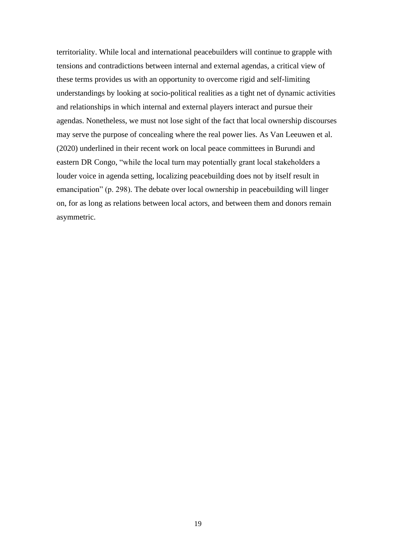territoriality. While local and international peacebuilders will continue to grapple with tensions and contradictions between internal and external agendas, a critical view of these terms provides us with an opportunity to overcome rigid and self-limiting understandings by looking at socio-political realities as a tight net of dynamic activities and relationships in which internal and external players interact and pursue their agendas. Nonetheless, we must not lose sight of the fact that local ownership discourses may serve the purpose of concealing where the real power lies. As Van Leeuwen et al. (2020) underlined in their recent work on local peace committees in Burundi and eastern DR Congo, "while the local turn may potentially grant local stakeholders a louder voice in agenda setting, localizing peacebuilding does not by itself result in emancipation" (p. 298). The debate over local ownership in peacebuilding will linger on, for as long as relations between local actors, and between them and donors remain asymmetric.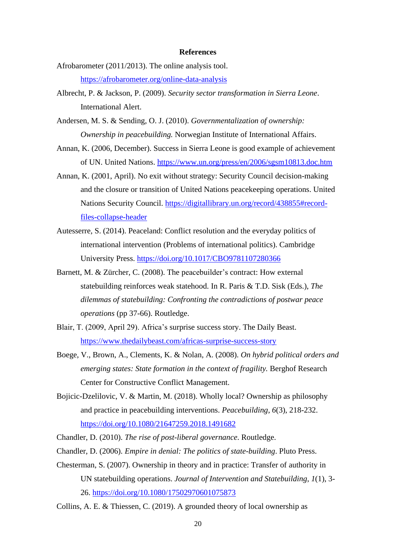#### **References**

- Afrobarometer (2011/2013). The online analysis tool. <https://afrobarometer.org/online-data-analysis>
- Albrecht, P. & Jackson, P. (2009). *Security sector transformation in Sierra Leone*. International Alert.
- Andersen, M. S. & Sending, O. J. (2010). *Governmentalization of ownership: Ownership in peacebuilding.* Norwegian Institute of International Affairs.
- Annan, K. (2006, December). Success in Sierra Leone is good example of achievement of UN. United Nations. <https://www.un.org/press/en/2006/sgsm10813.doc.htm>
- Annan, K. (2001, April). No exit without strategy: Security Council decision-making and the closure or transition of United Nations peacekeeping operations. United Nations Security Council. [https://digitallibrary.un.org/record/438855#record](https://digitallibrary.un.org/record/438855#record-files-collapse-header)[files-collapse-header](https://digitallibrary.un.org/record/438855#record-files-collapse-header)
- Autesserre, S. (2014). Peaceland: Conflict resolution and the everyday politics of international intervention (Problems of international politics). Cambridge University Press.<https://doi.org/10.1017/CBO9781107280366>
- Barnett, M. & Zürcher, C. (2008). The peacebuilder's contract: How external statebuilding reinforces weak statehood. In R. Paris & T.D. Sisk (Eds.), *The dilemmas of statebuilding: Confronting the contradictions of postwar peace operations* (pp 37-66). Routledge.
- Blair, T. (2009, April 29). Africa's surprise success story. The Daily Beast. <https://www.thedailybeast.com/africas-surprise-success-story>
- Boege, V., Brown, A., Clements, K. & Nolan, A. (2008). *On hybrid political orders and emerging states: State formation in the context of fragility.* Berghof Research Center for Constructive Conflict Management.
- Bojicic-Dzelilovic, V. & Martin, M. (2018). Wholly local? Ownership as philosophy and practice in peacebuilding interventions. *Peacebuilding*, *6*(3), 218-232. <https://doi.org/10.1080/21647259.2018.1491682>
- Chandler, D. (2010). *The rise of post-liberal governance*. Routledge.
- Chandler, D. (2006). *Empire in denial: The politics of state-building*. Pluto Press.
- Chesterman, S. (2007). Ownership in theory and in practice: Transfer of authority in UN statebuilding operations. *Journal of Intervention and Statebuilding*, *1*(1), 3- 26.<https://doi.org/10.1080/17502970601075873>
- Collins, A. E. & Thiessen, C. (2019). A grounded theory of local ownership as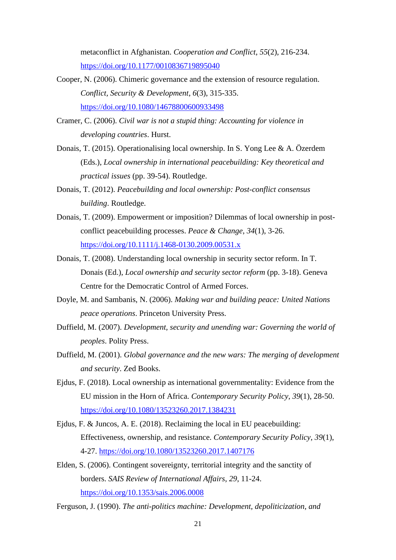metaconflict in Afghanistan. *Cooperation and Conflict*, *55*(2), 216-234. <https://doi.org/10.1177/0010836719895040>

- Cooper, N. (2006). Chimeric governance and the extension of resource regulation. *Conflict, Security & Development*, *6*(3), 315-335. <https://doi.org/10.1080/14678800600933498>
- Cramer, C. (2006). *Civil war is not a stupid thing: Accounting for violence in developing countries*. Hurst.
- Donais, T. (2015). Operationalising local ownership. In S. Yong Lee & A. Özerdem (Eds.), *Local ownership in international peacebuilding: Key theoretical and practical issues* (pp. 39-54). Routledge.
- Donais, T. (2012). *Peacebuilding and local ownership: Post-conflict consensus building*. Routledge.
- Donais, T. (2009). Empowerment or imposition? Dilemmas of local ownership in postconflict peacebuilding processes. *Peace & Change*, *34*(1), 3-26. <https://doi.org/10.1111/j.1468-0130.2009.00531.x>
- Donais, T. (2008). Understanding local ownership in security sector reform. In T. Donais (Ed.), *Local ownership and security sector reform* (pp. 3-18). Geneva Centre for the Democratic Control of Armed Forces.
- Doyle, M. and Sambanis, N. (2006). *Making war and building peace: United Nations peace operations*. Princeton University Press.
- Duffield, M. (2007). *Development, security and unending war: Governing the world of peoples*. Polity Press.
- Duffield, M. (2001). *Global governance and the new wars: The merging of development and security*. Zed Books.
- Ejdus, F. (2018). Local ownership as international governmentality: Evidence from the EU mission in the Horn of Africa. *Contemporary Security Policy*, *39*(1), 28-50. <https://doi.org/10.1080/13523260.2017.1384231>
- Ejdus, F. & Juncos, A. E. (2018). Reclaiming the local in EU peacebuilding: Effectiveness, ownership, and resistance. *Contemporary Security Policy*, *39*(1), 4-27.<https://doi.org/10.1080/13523260.2017.1407176>
- Elden, S. (2006). Contingent sovereignty, territorial integrity and the sanctity of borders. *SAIS Review of International Affairs*, *29*, 11-24. <https://doi.org/10.1353/sais.2006.0008>
- Ferguson, J. (1990). *The anti-politics machine: Development, depoliticization, and*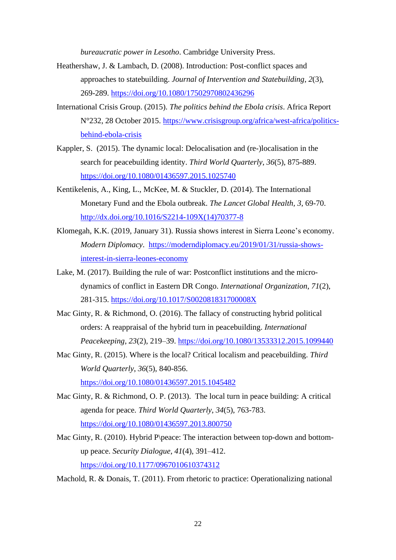*bureaucratic power in Lesotho*. Cambridge University Press.

- Heathershaw, J. & Lambach, D. (2008). Introduction: Post-conflict spaces and approaches to statebuilding. *Journal of Intervention and Statebuilding*, *2*(3), 269-289.<https://doi.org/10.1080/17502970802436296>
- International Crisis Group. (2015). *The politics behind the Ebola crisis*. Africa Report N°232, 28 October 2015. [https://www.crisisgroup.org/africa/west-africa/politics](https://www.crisisgroup.org/africa/west-africa/politics-behind-ebola-crisis)[behind-ebola-crisis](https://www.crisisgroup.org/africa/west-africa/politics-behind-ebola-crisis)
- Kappler, S. (2015). The dynamic local: Delocalisation and (re-)localisation in the search for peacebuilding identity. *Third World Quarterly*, *36*(5), 875-889. <https://doi.org/10.1080/01436597.2015.1025740>
- Kentikelenis, A., King, L., McKee, M. & Stuckler, D. (2014). The International Monetary Fund and the Ebola outbreak. *The Lancet Global Health, 3*, 69-70. [http://dx.doi.org/10.1016/S2214-109X\(14\)70377-8](http://dx.doi.org/10.1016/S2214-109X(14)70377-8)
- Klomegah, K.K. (2019, January 31). Russia shows interest in Sierra Leone's economy. *Modern Diplomacy*. [https://moderndiplomacy.eu/2019/01/31/russia-shows](https://moderndiplomacy.eu/2019/01/31/russia-shows-interest-in-sierra-leones-economy)[interest-in-sierra-leones-economy](https://moderndiplomacy.eu/2019/01/31/russia-shows-interest-in-sierra-leones-economy)
- Lake, M. (2017). Building the rule of war: Postconflict institutions and the microdynamics of conflict in Eastern DR Congo. *International Organization*, *71*(2), 281-315.<https://doi.org/10.1017/S002081831700008X>
- Mac Ginty, R. & Richmond, O. (2016). The fallacy of constructing hybrid political orders: A reappraisal of the hybrid turn in peacebuilding. *International Peacekeeping*, *23*(2), 219–39.<https://doi.org/10.1080/13533312.2015.1099440>
- Mac Ginty, R. (2015). Where is the local? Critical localism and peacebuilding. *Third World Quarterly*, *36*(5), 840-856. <https://doi.org/10.1080/01436597.2015.1045482>
- Mac Ginty, R. & Richmond, O. P. (2013). The local turn in peace building: A critical agenda for peace. *Third World Quarterly*, *34*(5), 763-783. <https://doi.org/10.1080/01436597.2013.800750>
- Mac Ginty, R. (2010). Hybrid P\peace: The interaction between top-down and bottomup peace. *Security Dialogue*, *41*(4), 391–412. <https://doi.org/10.1177/0967010610374312>

Machold, R. & Donais, T. (2011). From rhetoric to practice: Operationalizing national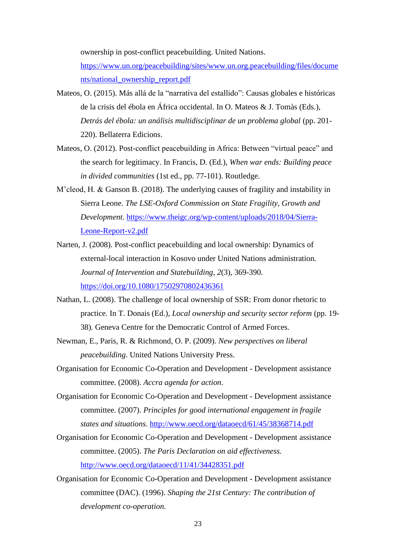ownership in post-conflict peacebuilding. United Nations.

[https://www.un.org/peacebuilding/sites/www.un.org.peacebuilding/files/docume](https://www.un.org/peacebuilding/sites/www.un.org.peacebuilding/files/documents/national_ownership_report.pdf) [nts/national\\_ownership\\_report.pdf](https://www.un.org/peacebuilding/sites/www.un.org.peacebuilding/files/documents/national_ownership_report.pdf)

- Mateos, O. (2015). Más allá de la "narrativa del estallido": Causas globales e históricas de la crisis del ébola en África occidental. In O. Mateos & J. Tomàs (Eds.), *Detrás del ébola: un análisis multidisciplinar de un problema global* (pp. 201- 220). Bellaterra Edicions.
- Mateos, O. (2012). Post-conflict peacebuilding in Africa: Between "virtual peace" and the search for legitimacy. In Francis, D. (Ed.), *When war ends: Building peace in divided communities* (1st ed., pp. 77-101). Routledge.
- M'cleod, H. & Ganson B. (2018). The underlying causes of fragility and instability in Sierra Leone. *The LSE-Oxford Commission on State Fragility, Growth and Development*. [https://www.theigc.org/wp-content/uploads/2018/04/Sierra-](https://www.theigc.org/wp-content/uploads/2018/04/Sierra-Leone-Report-v2.pdf)[Leone-Report-v2.pdf](https://www.theigc.org/wp-content/uploads/2018/04/Sierra-Leone-Report-v2.pdf)
- Narten, J. (2008). Post-conflict peacebuilding and local ownership: Dynamics of external-local interaction in Kosovo under United Nations administration. *Journal of Intervention and Statebuilding*, *2*(3), 369-390. <https://doi.org/10.1080/17502970802436361>
- Nathan, L. (2008). The challenge of local ownership of SSR: From donor rhetoric to practice. In T. Donais (Ed.), *Local ownership and security sector reform* (pp. 19- 38)*.* Geneva Centre for the Democratic Control of Armed Forces.
- Newman, E., Paris, R. & Richmond, O. P. (2009). *New perspectives on liberal peacebuilding*. United Nations University Press.
- Organisation for Economic Co-Operation and Development Development assistance committee. (2008). *Accra agenda for action*.
- Organisation for Economic Co-Operation and Development Development assistance committee. (2007). *Principles for good international engagement in fragile states and situations*.<http://www.oecd.org/dataoecd/61/45/38368714.pdf>
- Organisation for Economic Co-Operation and Development Development assistance committee. (2005). *The Paris Declaration on aid effectiveness.* <http://www.oecd.org/dataoecd/11/41/34428351.pdf>
- Organisation for Economic Co-Operation and Development Development assistance committee (DAC). (1996). *Shaping the 21st Century: The contribution of development co-operation.*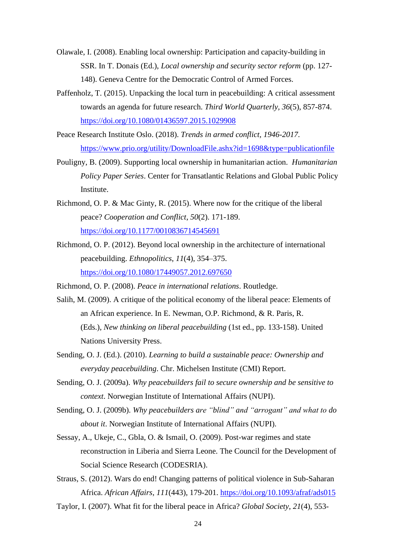- Olawale, I. (2008). Enabling local ownership: Participation and capacity-building in SSR. In T. Donais (Ed.), *Local ownership and security sector reform* (pp. 127- 148). Geneva Centre for the Democratic Control of Armed Forces.
- Paffenholz, T. (2015). Unpacking the local turn in peacebuilding: A critical assessment towards an agenda for future research. *Third World Quarterly, 36*(5), 857-874. <https://doi.org/10.1080/01436597.2015.1029908>
- Peace Research Institute Oslo. (2018). *Trends in armed conflict, 1946-2017.* <https://www.prio.org/utility/DownloadFile.ashx?id=1698&type=publicationfile>
- Pouligny, B. (2009). Supporting local ownership in humanitarian action. *Humanitarian Policy Paper Series*. Center for Transatlantic Relations and Global Public Policy Institute.
- Richmond, O. P. & Mac Ginty, R. (2015). Where now for the critique of the liberal peace? *Cooperation and Conflict*, *50*(2). 171-189. <https://doi.org/10.1177/0010836714545691>
- Richmond, O. P. (2012). Beyond local ownership in the architecture of international peacebuilding. *Ethnopolitics*, *11*(4), 354–375. <https://doi.org/10.1080/17449057.2012.697650>
- Richmond, O. P. (2008). *Peace in international relations*. Routledge.
- Salih, M. (2009). A critique of the political economy of the liberal peace: Elements of an African experience. In E. Newman, O.P. Richmond, & R. Paris, R. (Eds.), *New thinking on liberal peacebuilding* (1st ed., pp. 133-158). United Nations University Press.
- Sending, O. J. (Ed.). (2010). *Learning to build a sustainable peace: Ownership and everyday peacebuilding*. Chr. Michelsen Institute (CMI) Report.
- Sending, O. J. (2009a). *Why peacebuilders fail to secure ownership and be sensitive to context*. Norwegian Institute of International Affairs (NUPI).
- Sending, O. J. (2009b). *Why peacebuilders are "blind" and "arrogant" and what to do about it*. Norwegian Institute of International Affairs (NUPI).
- Sessay, A., Ukeje, C., Gbla, O. & Ismail, O. (2009). Post-war regimes and state reconstruction in Liberia and Sierra Leone. The Council for the Development of Social Science Research (CODESRIA).
- Straus, S. (2012). Wars do end! Changing patterns of political violence in Sub-Saharan Africa. *African Affairs*, *111*(443), 179-201.<https://doi.org/10.1093/afraf/ads015>
- Taylor, I. (2007). What fit for the liberal peace in Africa? *Global Society*, *21*(4), 553-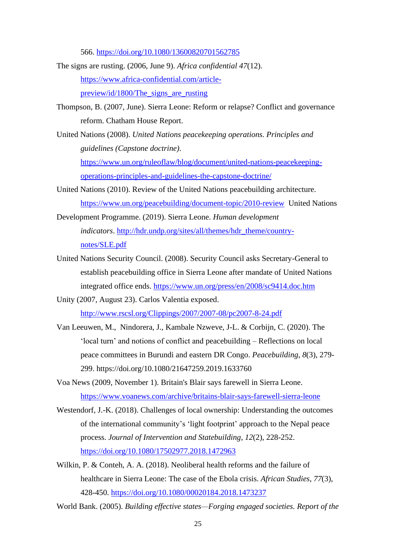566.<https://doi.org/10.1080/13600820701562785>

- The signs are rusting. (2006, June 9). *Africa confidential 47*(12). [https://www.africa-confidential.com/article](https://www.africa-confidential.com/article-preview/id/1800/The_signs_are_rusting)[preview/id/1800/The\\_signs\\_are\\_rusting](https://www.africa-confidential.com/article-preview/id/1800/The_signs_are_rusting)
- Thompson, B. (2007, June). Sierra Leone: Reform or relapse? Conflict and governance reform. Chatham House Report.
- United Nations (2008). *United Nations peacekeeping operations. Principles and guidelines (Capstone doctrine)*. [https://www.un.org/ruleoflaw/blog/document/united-nations-peacekeeping](https://www.un.org/ruleoflaw/blog/document/united-nations-peacekeeping-operations-principles-and-guidelines-the-capstone-doctrine/)[operations-principles-and-guidelines-the-capstone-doctrine/](https://www.un.org/ruleoflaw/blog/document/united-nations-peacekeeping-operations-principles-and-guidelines-the-capstone-doctrine/)
- United Nations (2010). Review of the United Nations peacebuilding architecture. <https://www.un.org/peacebuilding/document-topic/2010-review> United Nations
- Development Programme. (2019). Sierra Leone. *Human development indicators*. [http://hdr.undp.org/sites/all/themes/hdr\\_theme/country](http://hdr.undp.org/sites/all/themes/hdr_theme/country-notes/SLE.pdf)[notes/SLE.pdf](http://hdr.undp.org/sites/all/themes/hdr_theme/country-notes/SLE.pdf)
- United Nations Security Council. (2008). Security Council asks Secretary-General to establish peacebuilding office in Sierra Leone after mandate of United Nations integrated office ends.<https://www.un.org/press/en/2008/sc9414.doc.htm>
- Unity (2007, August 23). Carlos Valentia exposed. <http://www.rscsl.org/Clippings/2007/2007-08/pc2007-8-24.pdf>
- Van Leeuwen, M., Nindorera, J., Kambale Nzweve, J-L. & Corbijn, C. (2020). The 'local turn' and notions of conflict and peacebuilding – Reflections on local peace committees in Burundi and eastern DR Congo. *Peacebuilding*, *8*(3), 279- 299.<https://doi.org/10.1080/21647259.2019.1633760>
- Voa News (2009, November 1). Britain's Blair says farewell in Sierra Leone. <https://www.voanews.com/archive/britains-blair-says-farewell-sierra-leone>
- Westendorf, J.-K. (2018). Challenges of local ownership: Understanding the outcomes of the international community's 'light footprint' approach to the Nepal peace process. *Journal of Intervention and Statebuilding*, *12*(2), 228-252. <https://doi.org/10.1080/17502977.2018.1472963>
- Wilkin, P. & Conteh, A. A. (2018). Neoliberal health reforms and the failure of healthcare in Sierra Leone: The case of the Ebola crisis. *African Studies*, *77*(3), 428-450.<https://doi.org/10.1080/00020184.2018.1473237>
- World Bank. (2005). *Building effective states—Forging engaged societies. Report of the*